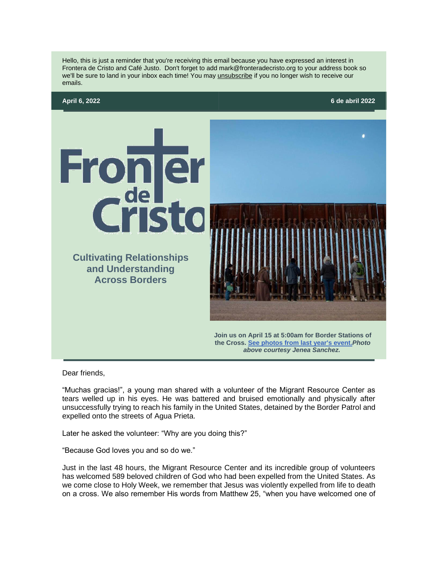



Dear friends,

"Muchas gracias!", a young man shared with a volunteer of the Migrant Resource Center as tears welled up in his eyes. He was battered and bruised emotionally and physically after unsuccessfully trying to reach his family in the United States, detained by the Border Patrol and expelled onto the streets of Agua Prieta.

Later he asked the volunteer: "Why are you doing this?"

"Because God loves you and so do we."

Just in the last 48 hours, the Migrant Resource Center and its incredible group of volunteers has welcomed 589 beloved children of God who had been expelled from the United States. As we come close to Holy Week, we remember that Jesus was violently expelled from life to death on a cross. We also remember His words from Matthew 25, "when you have welcomed one of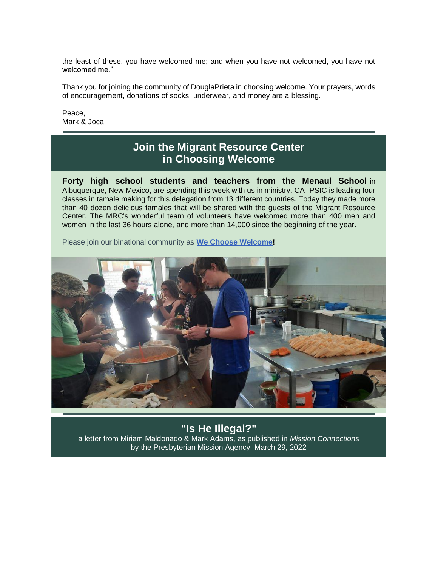the least of these, you have welcomed me; and when you have not welcomed, you have not welcomed me."

Thank you for joining the community of DouglaPrieta in choosing welcome. Your prayers, words of encouragement, donations of socks, underwear, and money are a blessing.

Peace, Mark & Joca

### **Join the Migrant Resource Center in Choosing Welcome**

**Forty high school students and teachers from the Menaul School** in Albuquerque, New Mexico, are spending this week with us in ministry. CATPSIC is leading four classes in tamale making for this delegation from 13 different countries. Today they made more than 40 dozen delicious tamales that will be shared with the guests of the Migrant Resource Center. The MRC's wonderful team of volunteers have welcomed more than 400 men and women in the last 36 hours alone, and more than 14,000 since the beginning of the year.

Please join our binational community as **[We Choose Welcome!](https://fronteradecristo.networkforgood.com/projects/127056-join-us-as-we-choose-welcome)**



### **"Is He Illegal?"**

a letter from Miriam Maldonado & Mark Adams, as published in *Mission Connection*s by the Presbyterian Mission Agency, March 29, 2022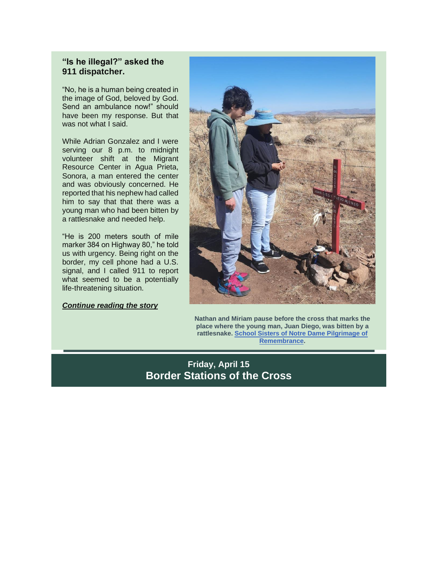#### **"Is he illegal?" asked the 911 dispatcher.**

"No, he is a human being created in the image of God, beloved by God. Send an ambulance now!" should have been my response. But that was not what I said.

While Adrian Gonzalez and I were serving our 8 p.m. to midnight volunteer shift at the Migrant Resource Center in Agua Prieta, Sonora, a man entered the center and was obviously concerned. He reported that his nephew had called him to say that that there was a young man who had been bitten by a rattlesnake and needed help.

"He is 200 meters south of mile marker 384 on Highway 80," he told us with urgency. Being right on the border, my cell phone had a U.S. signal, and I called 911 to report what seemed to be a potentially life-threatening situation.

#### *[Continue reading the story](https://www.presbyterianmission.org/ministries/missionconnections/letter/is-he-illegal/)*



**Nathan and Miriam pause before the cross that marks the place where the young man, Juan Diego, was bitten by a rattlesnake. [School Sisters of Notre Dame Pilgrimage of](https://crossplanting.wordpress.com/blog/?fbclid=IwAR1Z0zCQPdJmgeqazc92NYSYSphfb8sIB4SUjdLturqcXoGYwBbAxwBnxD0)  [Remembrance.](https://crossplanting.wordpress.com/blog/?fbclid=IwAR1Z0zCQPdJmgeqazc92NYSYSphfb8sIB4SUjdLturqcXoGYwBbAxwBnxD0)**

### **Friday, April 15 Border Stations of the Cross**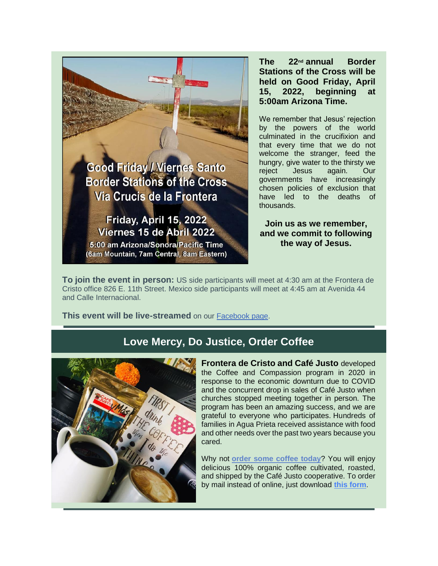

Friday, April 15, 2022 Viernes 15 de Abril 2022

5:00 am Arizona/Sonora/Pacific Time (6am Mountain, 7am Central, 8am Eastern) **The 22nd annual Border Stations of the Cross will be held on Good Friday, April 15, 2022, beginning at 5:00am Arizona Time.**

We remember that Jesus' rejection by the powers of the world culminated in the crucifixion and that every time that we do not welcome the stranger, feed the hungry, give water to the thirsty we reject Jesus again. Our governments have increasingly chosen policies of exclusion that have led to the deaths of thousands.

**Join us as we remember, and we commit to following the way of Jesus.**

**To join the event in person:** US side participants will meet at 4:30 am at the Frontera de Cristo office 826 E. 11th Street. Mexico side participants will meet at 4:45 am at Avenida 44 and Calle Internacional.

**This event will be live-streamed** on our [Facebook page.](https://www.facebook.com/fronteradecristo/)

### **Love Mercy, Do Justice, Order Coffee**



**Frontera de Cristo and Café Justo** developed the Coffee and Compassion program in 2020 in response to the economic downturn due to COVID and the concurrent drop in sales of Café Justo when churches stopped meeting together in person. The program has been an amazing success, and we are grateful to everyone who participates. Hundreds of families in Agua Prieta received assistance with food and other needs over the past two years because you cared.

Why not **[order some coffee today](https://fronteradecristo.networkforgood.com/events/40433-coffee-and-compassion-2-pound-minimum-purchase)**? You will enjoy delicious 100% organic coffee cultivated, roasted, and shipped by the Café Justo cooperative. To order by mail instead of online, just download **[this form](https://files.constantcontact.com/a8e9d04e001/fb1ea307-0bc7-437c-ab0a-14e1ad1fe260.pdf)**.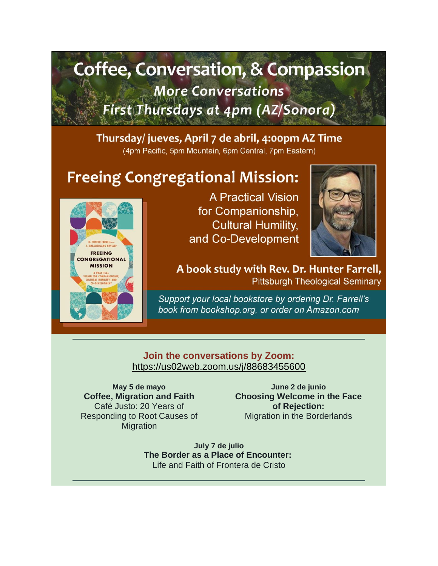# **Coffee, Conversation, & Compassion More Conversations** First Thursdays at 4pm (AZ/Sonora)

## Thursday/ jueves, April 7 de abril, 4:00pm AZ Time

(4pm Pacific, 5pm Mountain, 6pm Central, 7pm Eastern)

# **Freeing Congregational Mission:**



**A Practical Vision** for Companionship, **Cultural Humility,** and Co-Development



A book study with Rev. Dr. Hunter Farrell, **Pittsburgh Theological Seminary** 

Support your local bookstore by ordering Dr. Farrell's book from bookshop.org, or order on Amazon.com

### **Join the conversations by Zoom:** <https://us02web.zoom.us/j/88683455600>

**May 5 de mayo Coffee, Migration and Faith** Café Justo: 20 Years of Responding to Root Causes of **Migration** 

**June 2 de junio Choosing Welcome in the Face of Rejection:** Migration in the Borderlands

**July 7 de julio The Border as a Place of Encounter:** Life and Faith of Frontera de Cristo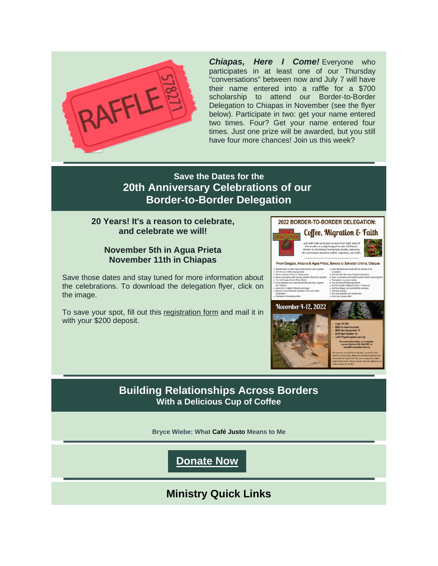

*Chiapas, Here I Come!* Everyone who participates in at least one of our Thursday "conversations" between now and July 7 will have their name entered into a raffle for a \$700 scholarship to attend our Border-to-Border Delegation to Chiapas in November (see the flyer below). Participate in two: get your name entered two times. Four? Get your name entered four times. Just one prize will be awarded, but you still have four more chances! Join us this week?

### **Save the Dates for the 20th Anniversary Celebrations of our Border-to-Border Delegation**

#### **20 Years! It's a reason to celebrate, and celebrate we will!**

#### **November 5th in Agua Prieta November 11th in Chiapas**

Save those dates and stay tuned for more information about the celebrations. To download the delegation flyer, click on the image.

To save your spot, fill out this [registration form](https://files.constantcontact.com/a8e9d04e001/8d2bfc81-913a-4226-91aa-006e1de59c1b.pdf) and mail it in with your \$200 deposit.



### **Building Relationships Across Borders With a Delicious Cup of Coffee**

**Bryce Wiebe: What Café Justo Means to Me**

### **[Donate Now](https://fronteradecristo.networkforgood.com/projects/48858-cultivating-hope-across-borders)**

**Ministry Quick Links**